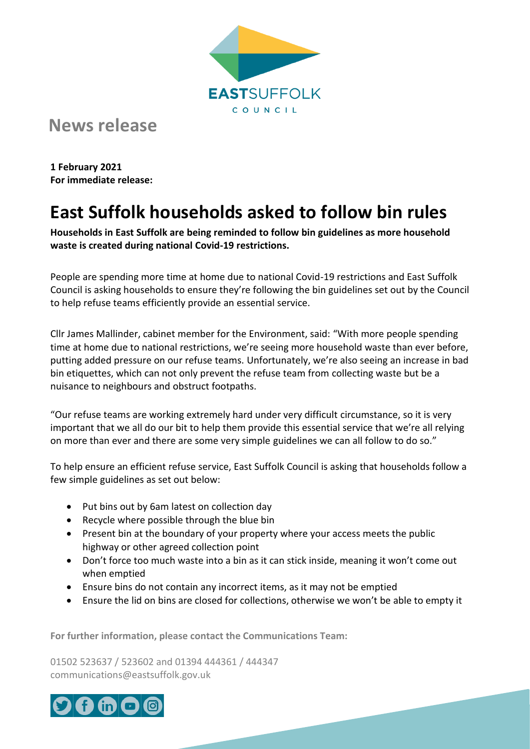

## **News release**

**1 February 2021 For immediate release:**

## **East Suffolk households asked to follow bin rules**

**Households in East Suffolk are being reminded to follow bin guidelines as more household waste is created during national Covid-19 restrictions.**

People are spending more time at home due to national Covid-19 restrictions and East Suffolk Council is asking households to ensure they're following the bin guidelines set out by the Council to help refuse teams efficiently provide an essential service.

Cllr James Mallinder, cabinet member for the Environment, said: "With more people spending time at home due to national restrictions, we're seeing more household waste than ever before, putting added pressure on our refuse teams. Unfortunately, we're also seeing an increase in bad bin etiquettes, which can not only prevent the refuse team from collecting waste but be a nuisance to neighbours and obstruct footpaths.

"Our refuse teams are working extremely hard under very difficult circumstance, so it is very important that we all do our bit to help them provide this essential service that we're all relying on more than ever and there are some very simple guidelines we can all follow to do so."

To help ensure an efficient refuse service, East Suffolk Council is asking that households follow a few simple guidelines as set out below:

- Put bins out by 6am latest on collection day
- Recycle where possible through the blue bin
- Present bin at the boundary of your property where your access meets the public highway or other agreed collection point
- Don't force too much waste into a bin as it can stick inside, meaning it won't come out when emptied
- Ensure bins do not contain any incorrect items, as it may not be emptied
- Ensure the lid on bins are closed for collections, otherwise we won't be able to empty it

**For further information, please contact the Communications Team:**

01502 523637 / 523602 and 01394 444361 / 444347 communications@eastsuffolk.gov.uk

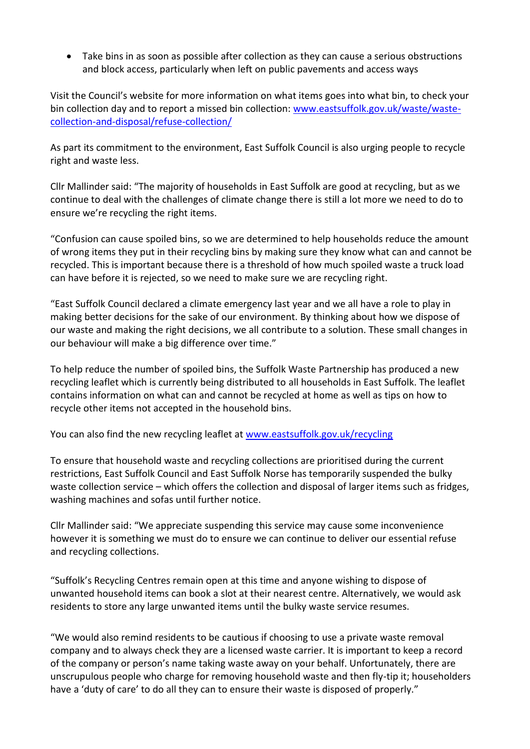• Take bins in as soon as possible after collection as they can cause a serious obstructions and block access, particularly when left on public pavements and access ways

Visit the Council's website for more information on what items goes into what bin, to check your bin collection day and to report a missed bin collection: [www.eastsuffolk.gov.uk/waste/waste](https://www.eastsuffolk.gov.uk/waste/waste-collection-and-disposal/refuse-collection/)[collection-and-disposal/refuse-collection/](https://www.eastsuffolk.gov.uk/waste/waste-collection-and-disposal/refuse-collection/)

As part its commitment to the environment, East Suffolk Council is also urging people to recycle right and waste less.

Cllr Mallinder said: "The majority of households in East Suffolk are good at recycling, but as we continue to deal with the challenges of climate change there is still a lot more we need to do to ensure we're recycling the right items.

"Confusion can cause spoiled bins, so we are determined to help households reduce the amount of wrong items they put in their recycling bins by making sure they know what can and cannot be recycled. This is important because there is a threshold of how much spoiled waste a truck load can have before it is rejected, so we need to make sure we are recycling right.

"East Suffolk Council declared a climate emergency last year and we all have a role to play in making better decisions for the sake of our environment. By thinking about how we dispose of our waste and making the right decisions, we all contribute to a solution. These small changes in our behaviour will make a big difference over time."

To help reduce the number of spoiled bins, the Suffolk Waste Partnership has produced a new recycling leaflet which is currently being distributed to all households in East Suffolk. The leaflet contains information on what can and cannot be recycled at home as well as tips on how to recycle other items not accepted in the household bins.

You can also find the new recycling leaflet at [www.eastsuffolk.gov.uk/recycling](http://www.eastsuffolk.gov.uk/recycling)

To ensure that household waste and recycling collections are prioritised during the current restrictions, East Suffolk Council and East Suffolk Norse has temporarily suspended the bulky waste collection service – which offers the collection and disposal of larger items such as fridges, washing machines and sofas until further notice.

Cllr Mallinder said: "We appreciate suspending this service may cause some inconvenience however it is something we must do to ensure we can continue to deliver our essential refuse and recycling collections.

"Suffolk's Recycling Centres remain open at this time and anyone wishing to dispose of unwanted household items can book a slot at their nearest centre. Alternatively, we would ask residents to store any large unwanted items until the bulky waste service resumes.

"We would also remind residents to be cautious if choosing to use a private waste removal company and to always check they are a licensed waste carrier. It is important to keep a record of the company or person's name taking waste away on your behalf. Unfortunately, there are unscrupulous people who charge for removing household waste and then fly-tip it; householders have a 'duty of care' to do all they can to ensure their waste is disposed of properly."